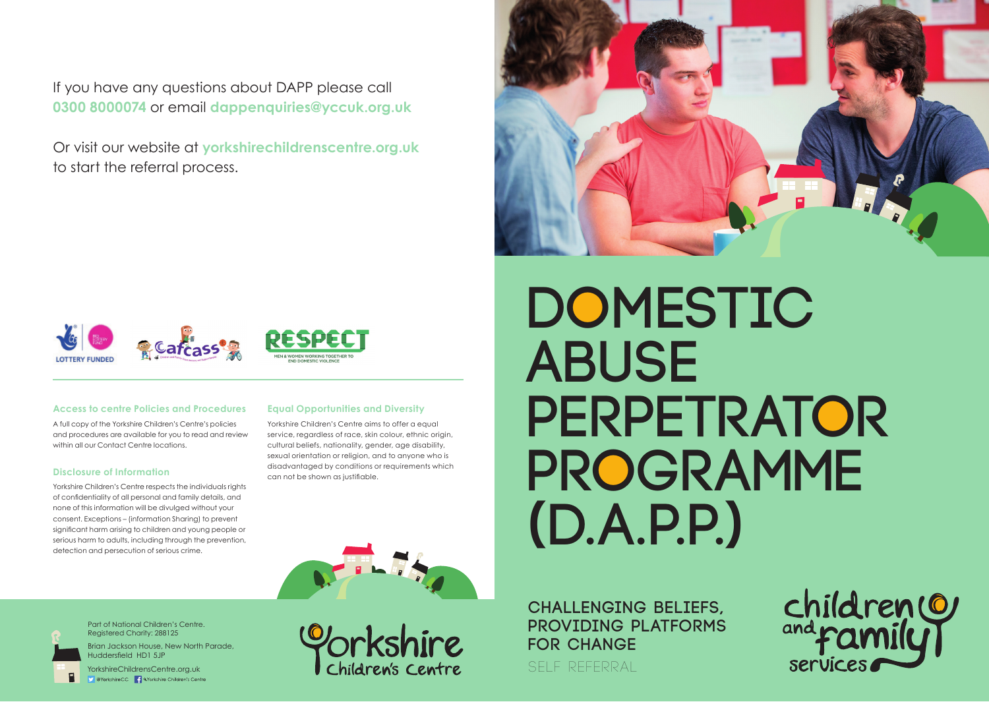If you have any questions about DAPP please call **0300 8000074** or email **dappenquiries@yccuk.org.uk**

Or visit our website at **yorkshirechildrenscentre.org.uk**  to start the referral process.





### **Access to centre Policies and Procedures**

A full copy of the Yorkshire Children's Centre's policies and procedures are available for you to read and review within all our Contact Centre locations.

#### **Disclosure of Information**

Yorkshire Children's Centre respects the individuals rights of confidentiality of all personal and family details, and none of this information will be divulged without your consent. Exceptions – (information Sharing) to prevent significant harm arising to children and young people or serious harm to adults, including through the prevention, detection and persecution of serious crime.

### **Equal Opportunities and Diversity**

Yorkshire Children's Centre aims to offer a equal service, regardless of race, skin colour, ethnic origin, cultural beliefs, nationality, gender, age disability, sexual orientation or religion, and to anyone who is disadvantaged by conditions or requirements which can not be shown as justifiable.

# **Domestic Abuse Perpetrator Programme (D.A.P.P.)**





Part of National Children's Centre. Registered Charity: 288125

Brian Jackson House, New North Parade, Huddersfield HD1 5JP

YorkshireChildrensCentre.org.uk V @YorkshireCC 4 QYorkshire Children's Centre Children's Centre

**Challenging Beliefs, Providing Platforms for Change**

self referral